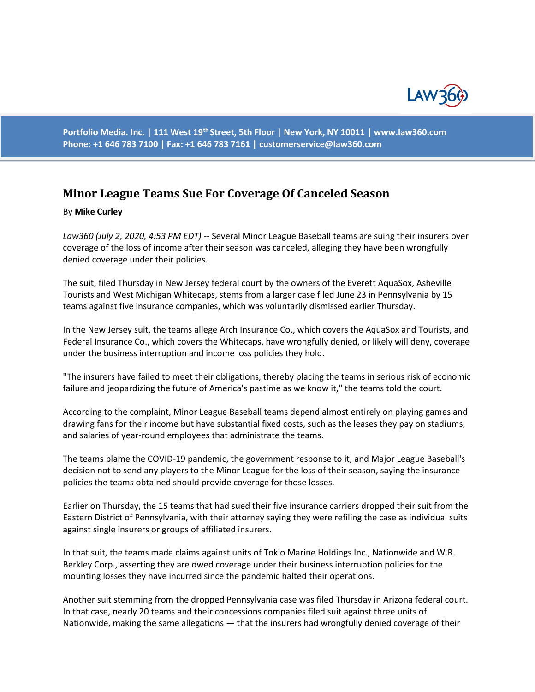

**Portfolio Media. Inc. | 111 West 19th Street, 5th Floor | New York, NY 10011 | www.law360.com Phone: +1 646 783 7100 | Fax: +1 646 783 7161 | customerservice@law360.com**

## **Minor League Teams Sue For Coverage Of Canceled Season**

## By **Mike Curley**

*Law360 (July 2, 2020, 4:53 PM EDT) --* Several Minor League Baseball teams are suing their insurers over coverage of the loss of income after their season was canceled, alleging they have been wrongfully denied coverage under their policies.

The suit, filed Thursday in New Jersey federal court by the owners of the Everett AquaSox, Asheville Tourists and West Michigan Whitecaps, stems from a larger case filed June 23 in Pennsylvania by 15 teams against five insurance companies, which was voluntarily dismissed earlier Thursday.

In the New Jersey suit, the teams allege Arch Insurance Co., which covers the AquaSox and Tourists, and Federal Insurance Co., which covers the Whitecaps, have wrongfully denied, or likely will deny, coverage under the business interruption and income loss policies they hold.

"The insurers have failed to meet their obligations, thereby placing the teams in serious risk of economic failure and jeopardizing the future of America's pastime as we know it," the teams told the court.

According to the complaint, Minor League Baseball teams depend almost entirely on playing games and drawing fans for their income but have substantial fixed costs, such as the leases they pay on stadiums, and salaries of year-round employees that administrate the teams.

The teams blame the COVID-19 pandemic, the government response to it, and Major League Baseball's decision not to send any players to the Minor League for the loss of their season, saying the insurance policies the teams obtained should provide coverage for those losses.

Earlier on Thursday, the 15 teams that had sued their five insurance carriers dropped their suit from the Eastern District of Pennsylvania, with their attorney saying they were refiling the case as individual suits against single insurers or groups of affiliated insurers.

In that suit, the teams made claims against units of Tokio Marine Holdings Inc., Nationwide and W.R. Berkley Corp., asserting they are owed coverage under their business interruption policies for the mounting losses they have incurred since the pandemic halted their operations.

Another suit stemming from the dropped Pennsylvania case was filed Thursday in Arizona federal court. In that case, nearly 20 teams and their concessions companies filed suit against three units of Nationwide, making the same allegations — that the insurers had wrongfully denied coverage of their